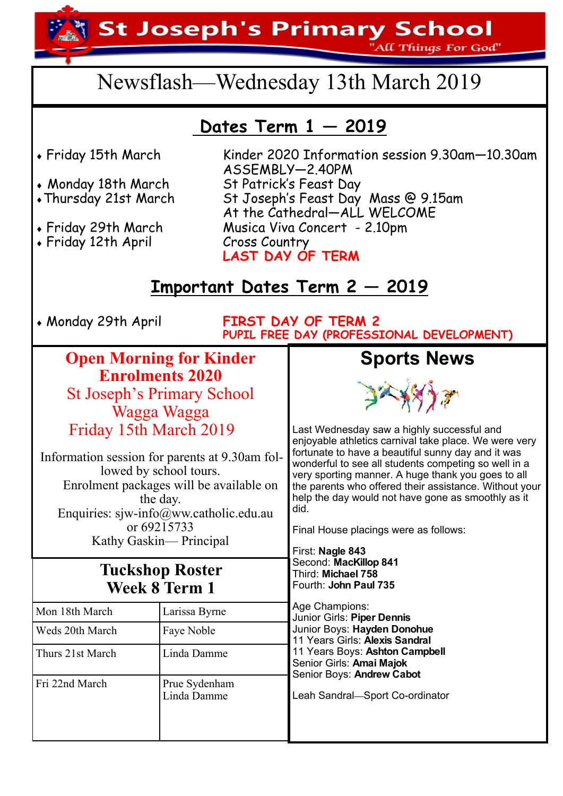**St Joseph's Primary School** 

'All Things For God"

# Newsflash—Wednesday 13th March 2019

## **Dates Term 1 — 2019**

- 
- 
- 
- 
- Friday 12th April Cross Country

Friday 15th March Kinder 2020 Information session 9.30am—10.30am ASSEMBLY—2.40PM Monday 18th March St Patrick's Feast Day Thursday 21st March St Joseph's Feast Day Mass @ 9.15am At the Cathedral—ALL WELCOME Musica Viva Concert - 2.10pm **LAST DAY OF TERM** 

### **Important Dates Term 2 — 2019**

Monday 29th April **FIRST DAY OF TERM 2 PUPIL FREE DAY (PROFESSIONAL DEVELOPMENT)**

#### **Open Morning for Kinder Enrolments 2020**  St Joseph's Primary School

Wagga Wagga Friday 15th March 2019

Information session for parents at 9.30am followed by school tours. Enrolment packages will be available on the day. Enquiries: sjw-info@ww.catholic.edu.au or 69215733

Kathy Gaskin— Principal

#### **Tuckshop Roster Week 8 Term 1**

Linda Damme

Weds 20th March Faye Noble

Mon 18th March Larissa Byrne

Thurs 21st March Linda Damme

Fri 22nd March Prue Sydenham





Last Wednesday saw a highly successful and enjoyable athletics carnival take place. We were very fortunate to have a beautiful sunny day and it was wonderful to see all students competing so well in a very sporting manner. A huge thank you goes to all the parents who offered their assistance. Without your help the day would not have gone as smoothly as it did.

Final House placings were as follows:

First: **Nagle 843** Second: **MacKillop 841** Third: **Michael 758** Fourth: **John Paul 735**

Age Champions: Junior Girls: **Piper Dennis** Junior Boys: **Hayden Donohue** 11 Years Girls: **Alexis Sandral** 11 Years Boys: **Ashton Campbell** Senior Girls: **Amai Majok** Senior Boys: **Andrew Cabot**

Leah Sandral**—**Sport Co-ordinator